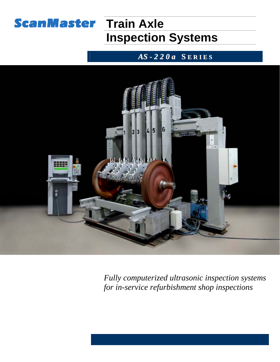

# **Train Axle Inspection Systems**

## *AS - 2 2 0 a* **S E R I E S**



*Fully computerized ultrasonic inspection systems for in-service refurbishment shop inspections*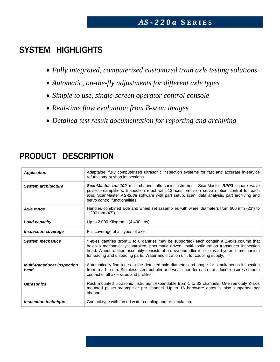### *AS - 2 2 0 a* **S E R I E S**

### **SYSTEM HIGHLIGHTS**

- *Fully integrated, computerized customized train axle testing solutions*
- *Automatic, on-the-fly adjustments for different axle types*
- *Simple to use, single-screen operator control console*
- *Real-time flaw evaluation from B-scan images*
- *Detailed test result documentation for reporting and archiving*

| <b>Application</b>                         | Adaptable, fully computerized ultrasonic inspection systems for fast and accurate in-service<br>refurbishment shop inspections.                                                                                                                                                                                                                                               |
|--------------------------------------------|-------------------------------------------------------------------------------------------------------------------------------------------------------------------------------------------------------------------------------------------------------------------------------------------------------------------------------------------------------------------------------|
| <b>System architecture</b>                 | ScanMaster upi-100 multi-channel ultrasonic instrument. ScanMaster RPP3 square wave<br>pulser-preamplifiers. Inspection robot with 13-axes precision servo motion control for each<br>axis. ScanMaster AS-200a software with part setup, scan, data analysis, part archiving and<br>servo control functionalities.                                                            |
| Axle range                                 | Handles combined axle and wheel set assemblies with wheel diameters from 600 mm (23") to<br>1,200 mm (47").                                                                                                                                                                                                                                                                   |
| Load capacity                              | Up to $2,000$ Kilograms $(4,400$ Lbs).                                                                                                                                                                                                                                                                                                                                        |
| <b>Inspection coverage</b>                 | Full coverage of all types of axle.                                                                                                                                                                                                                                                                                                                                           |
| <b>System mechanics</b>                    | Y-axes gantries (from 2 to 6 gantries may be supported) each contain a Z-axis column that<br>holds a mechanically controlled, pneumatic driven, multi-configuration transducer inspection<br>head. Wheel rotation assembly consists of a drive and idler roller plus a hydraulic mechanism<br>for loading and unloading parts. Water and filtration unit for coupling supply. |
| <b>Multi-transducer inspection</b><br>head | Automatically fine tunes to the detected axle diameter and shape for simultaneous inspection<br>from tread to rim. Stainless steel bubbler and wear shoe for each transducer ensures smooth<br>contact of all axle sizes and profiles.                                                                                                                                        |
| <b>Ultrasonics</b>                         | Rack mounted ultrasonic instrument expandable from 1 to 32 channels. One remotely Z-axis<br>mounted pulser-preamplifier per channel. Up to 16 hardware gates is also supported per<br>channel.                                                                                                                                                                                |
| <b>Inspection technique</b>                | Contact type with forced water coupling and re-circulation.                                                                                                                                                                                                                                                                                                                   |

## **PRODUCT DESCRIPTION**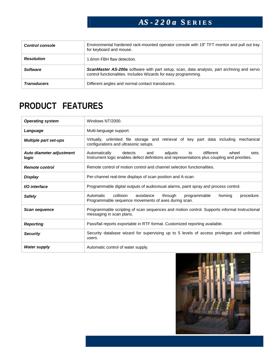## *AS - 2 2 0 a* **S E R I E S**

| <b>Control console</b> | Environmental hardened rack-mounted operator console with 19" TFT monitor and pull out tray<br>for keyboard and mouse.                                               |
|------------------------|----------------------------------------------------------------------------------------------------------------------------------------------------------------------|
| <b>Resolution</b>      | 1.6mm FBH flaw detection.                                                                                                                                            |
| <b>Software</b>        | <b>ScanMaster AS-200a</b> software with part setup, scan, data analysis, part archiving and servo<br>control functionalities. Includes Wizards for easy programming. |
| <b>Transducers</b>     | Different angles and normal contact transducers.                                                                                                                     |

## **PRODUCT FEATURES**

| <b>Operating system</b>           | Windows NT/2000.                                                                                                                                                                 |
|-----------------------------------|----------------------------------------------------------------------------------------------------------------------------------------------------------------------------------|
| Language                          | Multi-language support.                                                                                                                                                          |
| <b>Multiple part set-ups</b>      | Virtually, unlimited file storage and retrieval of key part data including<br>mechanical<br>configurations and ultrasonic setups.                                                |
| Auto diameter adjustment<br>logic | different<br>adjusts<br>wheel<br>Automatically<br>detects<br>and<br>to<br>sets.<br>Instrument logic enables defect definitions and representations plus coupling and priorities. |
| <b>Remote control</b>             | Remote control of motion control and channel selection functionalities.                                                                                                          |
| Display                           | Per-channel real-time displays of scan position and A-scan.                                                                                                                      |
| I/O interface                     | Programmable digital outputs of audiovisual alarms, paint spray and process control.                                                                                             |
| <b>Safety</b>                     | collision<br>Automatic<br>avoidance<br>through<br>procedure.<br>programmable<br>homing<br>Programmable sequence movements of axes during scan.                                   |
| Scan sequence                     | Programmable scripting of scan sequences and motion control. Supports informal Instructional<br>messaging in scan plans.                                                         |
| <b>Reporting</b>                  | Pass/fail reports exportable in RTF format. Customized reporting available.                                                                                                      |
| <b>Security</b>                   | Security database wizard for supervising up to 5 levels of access privileges and unlimited<br>users.                                                                             |
| <b>Water supply</b>               | Automatic control of water supply.                                                                                                                                               |